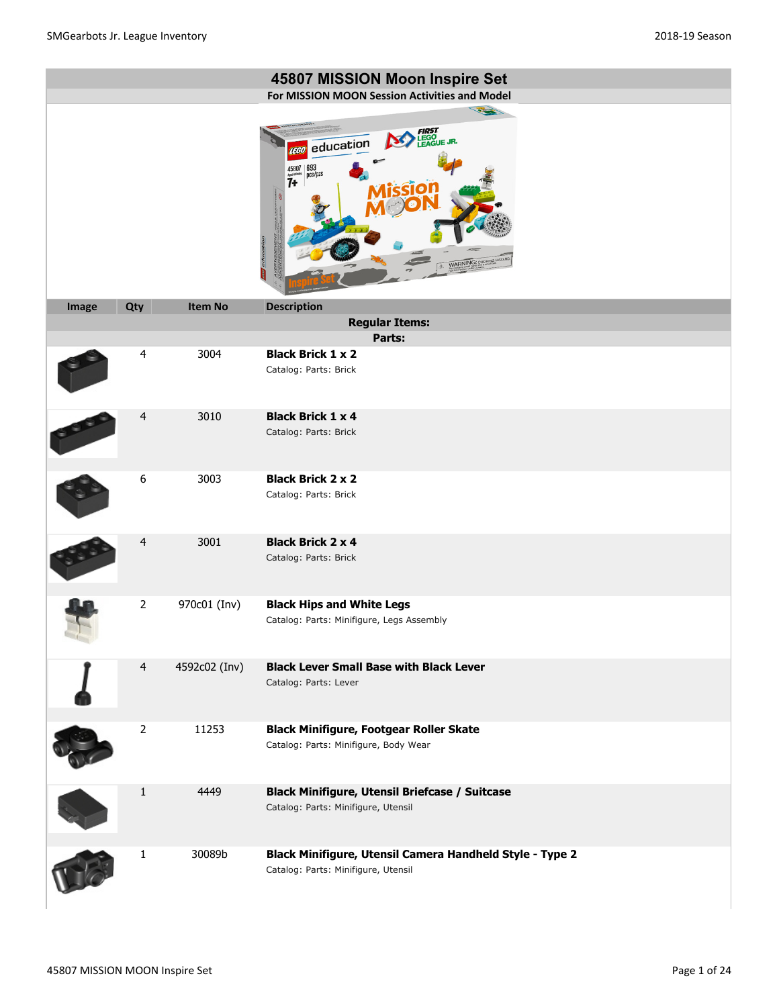|       |                         |                | 45807 MISSION Moon Inspire Set<br>For MISSION MOON Session Activities and Model                                                                                        |
|-------|-------------------------|----------------|------------------------------------------------------------------------------------------------------------------------------------------------------------------------|
|       |                         |                | 1200<br><b>FIRST</b><br>LEGO<br>LEAGUE JR.<br>education<br><b>LEGO</b><br>$\left  \frac{693}{\text{pcs}} \right $<br>45807<br>$\dddot{7}$<br>ਕ<br>WARNING: CHOKING HAL |
| Image | Qty                     | <b>Item No</b> | <b>Description</b>                                                                                                                                                     |
|       |                         |                | <b>Regular Items:</b>                                                                                                                                                  |
|       |                         |                | Parts:                                                                                                                                                                 |
|       | $\overline{\mathbf{4}}$ | 3004           | <b>Black Brick 1 x 2</b><br>Catalog: Parts: Brick                                                                                                                      |
|       | $\overline{4}$          | 3010           | <b>Black Brick 1 x 4</b><br>Catalog: Parts: Brick                                                                                                                      |
|       | 6                       | 3003           | <b>Black Brick 2 x 2</b><br>Catalog: Parts: Brick                                                                                                                      |
|       | 4                       | 3001           | <b>Black Brick 2 x 4</b><br>Catalog: Parts: Brick                                                                                                                      |
|       | $\overline{2}$          | 970c01 (Inv)   | <b>Black Hips and White Legs</b><br>Catalog: Parts: Minifigure, Legs Assembly                                                                                          |
|       | $\overline{4}$          | 4592c02 (Inv)  | <b>Black Lever Small Base with Black Lever</b><br>Catalog: Parts: Lever                                                                                                |
|       | $\overline{2}$          | 11253          | <b>Black Minifigure, Footgear Roller Skate</b><br>Catalog: Parts: Minifigure, Body Wear                                                                                |
|       | 1                       | 4449           | <b>Black Minifigure, Utensil Briefcase / Suitcase</b><br>Catalog: Parts: Minifigure, Utensil                                                                           |
|       | 1                       | 30089b         | Black Minifigure, Utensil Camera Handheld Style - Type 2<br>Catalog: Parts: Minifigure, Utensil                                                                        |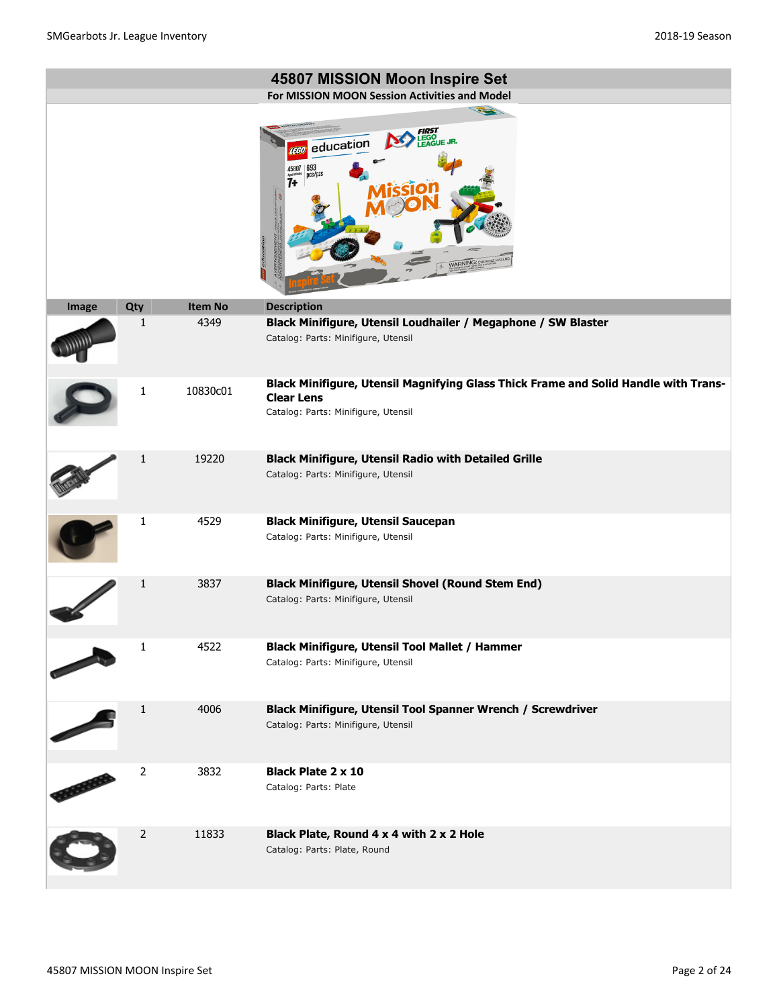|       |     |                | 45807 MISSION Moon Inspire Set<br>For MISSION MOON Session Activities and Model                                                                 |
|-------|-----|----------------|-------------------------------------------------------------------------------------------------------------------------------------------------|
|       |     |                | 22<br>GO<br>AGUE JR.<br>education<br><b>TEGO</b><br>693<br>45807<br>pcs/pzs<br>$7+$<br>WARNING: CHOKING                                         |
| Image | Qty | <b>Item No</b> | <b>Description</b>                                                                                                                              |
|       | 1   | 4349           | Black Minifigure, Utensil Loudhailer / Megaphone / SW Blaster<br>Catalog: Parts: Minifigure, Utensil                                            |
|       | 1   | 10830c01       | Black Minifigure, Utensil Magnifying Glass Thick Frame and Solid Handle with Trans-<br><b>Clear Lens</b><br>Catalog: Parts: Minifigure, Utensil |
|       | 1   | 19220          | <b>Black Minifigure, Utensil Radio with Detailed Grille</b><br>Catalog: Parts: Minifigure, Utensil                                              |
|       | 1   | 4529           | <b>Black Minifigure, Utensil Saucepan</b><br>Catalog: Parts: Minifigure, Utensil                                                                |
|       | 1   | 3837           | <b>Black Minifigure, Utensil Shovel (Round Stem End)</b><br>Catalog: Parts: Minifigure, Utensil                                                 |
|       | 1   | 4522           | Black Minifigure, Utensil Tool Mallet / Hammer<br>Catalog: Parts: Minifigure, Utensil                                                           |
|       | 1   | 4006           | Black Minifigure, Utensil Tool Spanner Wrench / Screwdriver<br>Catalog: Parts: Minifigure, Utensil                                              |
|       | 2   | 3832           | <b>Black Plate 2 x 10</b><br>Catalog: Parts: Plate                                                                                              |
|       | 2   | 11833          | Black Plate, Round 4 x 4 with 2 x 2 Hole<br>Catalog: Parts: Plate, Round                                                                        |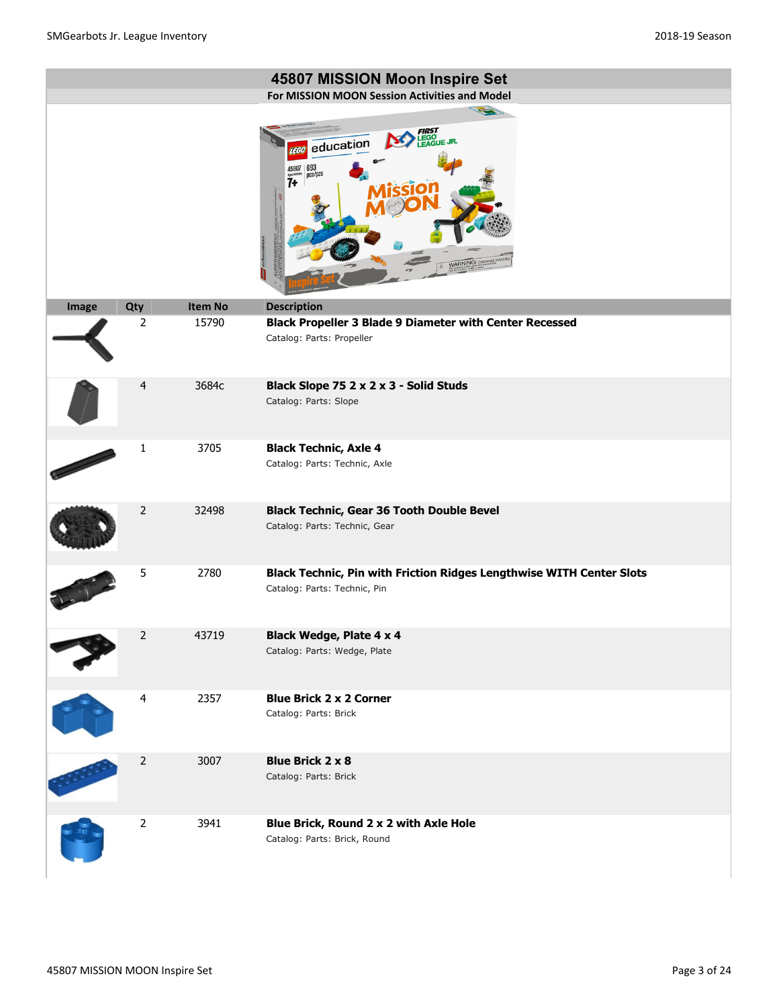|       |                |                | 45807 MISSION Moon Inspire Set<br>For MISSION MOON Session Activities and Model                                     |
|-------|----------------|----------------|---------------------------------------------------------------------------------------------------------------------|
|       |                |                | 12<br>education<br><b>LEGO</b><br>$\left  \frac{693}{\text{pcs/}\text{pzs}} \right $<br>45807<br>7+<br>WARNING: CHI |
| Image | Qty            | <b>Item No</b> | <b>Description</b>                                                                                                  |
|       | 2              | 15790          | <b>Black Propeller 3 Blade 9 Diameter with Center Recessed</b><br>Catalog: Parts: Propeller                         |
|       | $\overline{4}$ | 3684c          | Black Slope 75 2 x 2 x 3 - Solid Studs<br>Catalog: Parts: Slope                                                     |
|       | 1              | 3705           | <b>Black Technic, Axle 4</b><br>Catalog: Parts: Technic, Axle                                                       |
|       | $\overline{2}$ | 32498          | <b>Black Technic, Gear 36 Tooth Double Bevel</b><br>Catalog: Parts: Technic, Gear                                   |
|       | 5              | 2780           | Black Technic, Pin with Friction Ridges Lengthwise WITH Center Slots<br>Catalog: Parts: Technic, Pin                |
|       | $\overline{2}$ | 43719          | <b>Black Wedge, Plate 4 x 4</b><br>Catalog: Parts: Wedge, Plate                                                     |
|       | $\overline{4}$ | 2357           | <b>Blue Brick 2 x 2 Corner</b><br>Catalog: Parts: Brick                                                             |
|       | $\overline{c}$ | 3007           | <b>Blue Brick 2 x 8</b><br>Catalog: Parts: Brick                                                                    |
|       | $\mathbf 2$    | 3941           | Blue Brick, Round 2 x 2 with Axle Hole<br>Catalog: Parts: Brick, Round                                              |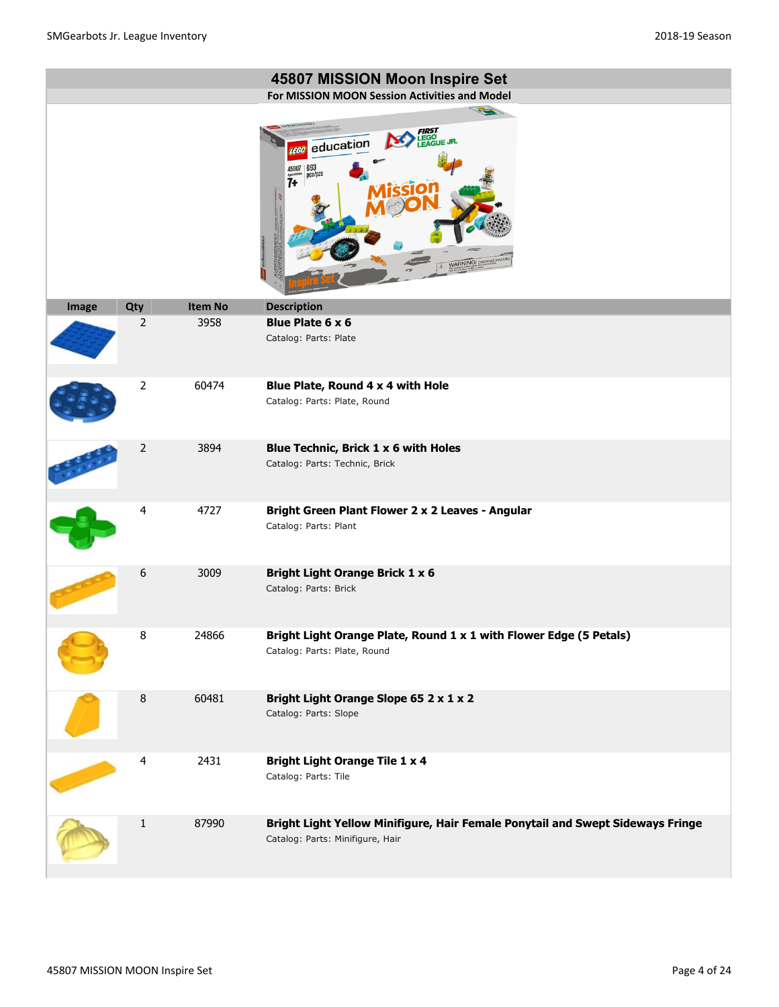|       |                |                | 45807 MISSION Moon Inspire Set<br>For MISSION MOON Session Activities and Model                                     |
|-------|----------------|----------------|---------------------------------------------------------------------------------------------------------------------|
|       |                |                | $\rightarrow$<br><b>LEGO<br/>FAGUE JR.</b><br>education<br><b>EGO</b><br>693<br>ncs/pzs<br>$7+$<br>WARNING: CHOKING |
| Image | Qty            | <b>Item No</b> | <b>Description</b>                                                                                                  |
|       | $\overline{2}$ | 3958           | Blue Plate 6 x 6<br>Catalog: Parts: Plate                                                                           |
|       | $\overline{2}$ | 60474          | Blue Plate, Round 4 x 4 with Hole<br>Catalog: Parts: Plate, Round                                                   |
|       | $\overline{2}$ | 3894           | Blue Technic, Brick 1 x 6 with Holes<br>Catalog: Parts: Technic, Brick                                              |
|       | 4              | 4727           | Bright Green Plant Flower 2 x 2 Leaves - Angular<br>Catalog: Parts: Plant                                           |
|       | 6              | 3009           | <b>Bright Light Orange Brick 1 x 6</b><br>Catalog: Parts: Brick                                                     |
|       | 8              | 24866          | Bright Light Orange Plate, Round 1 x 1 with Flower Edge (5 Petals)<br>Catalog: Parts: Plate, Round                  |
|       | $\, 8$         | 60481          | Bright Light Orange Slope 65 2 x 1 x 2<br>Catalog: Parts: Slope                                                     |
|       | 4              | 2431           | <b>Bright Light Orange Tile 1 x 4</b><br>Catalog: Parts: Tile                                                       |
|       | $\mathbf{1}$   | 87990          | Bright Light Yellow Minifigure, Hair Female Ponytail and Swept Sideways Fringe<br>Catalog: Parts: Minifigure, Hair  |

L.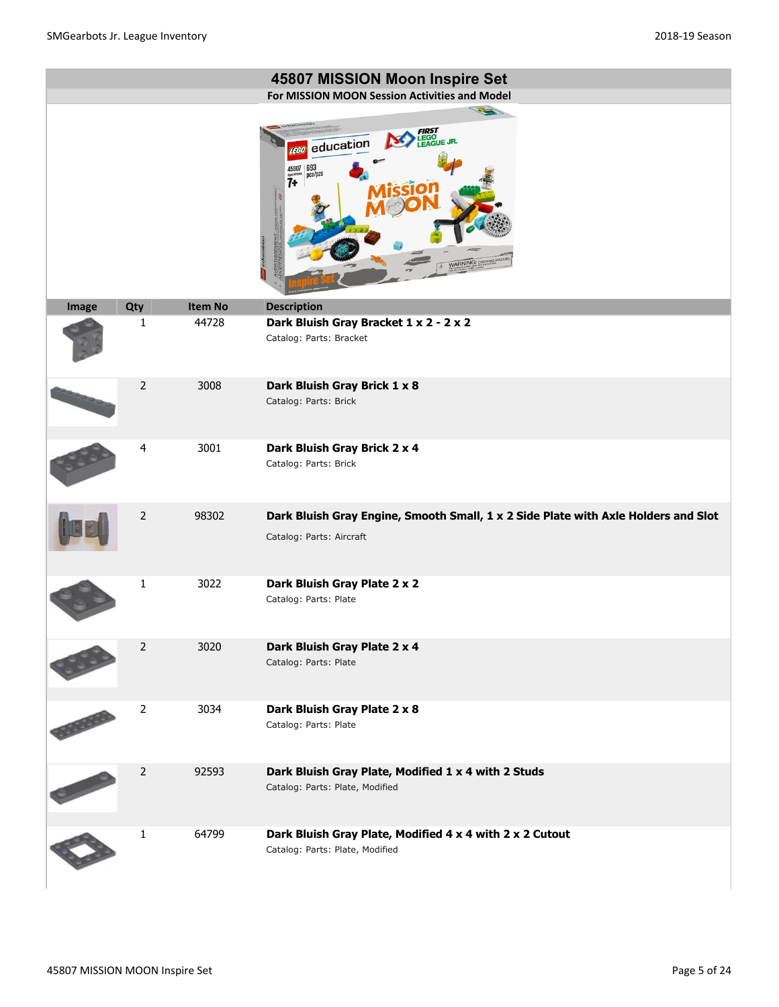|       |                |                | 45807 MISSION Moon Inspire Set<br>For MISSION MOON Session Activities and Model                                 |
|-------|----------------|----------------|-----------------------------------------------------------------------------------------------------------------|
|       |                |                | 1200                                                                                                            |
|       |                |                | LEGO<br>EAGUE JR.<br>education<br><b>EGO</b><br>$693$ pcs/pzs<br>45807<br>$\overline{7}$<br><b>NARNING: CHI</b> |
| Image | Qty            | <b>Item No</b> | <b>Description</b>                                                                                              |
|       | 1              | 44728          | Dark Bluish Gray Bracket 1 x 2 - 2 x 2<br>Catalog: Parts: Bracket                                               |
|       | $\overline{2}$ | 3008           | Dark Bluish Gray Brick 1 x 8<br>Catalog: Parts: Brick                                                           |
|       | 4              | 3001           | Dark Bluish Gray Brick 2 x 4<br>Catalog: Parts: Brick                                                           |
|       | $\overline{2}$ | 98302          | Dark Bluish Gray Engine, Smooth Small, 1 x 2 Side Plate with Axle Holders and Slot<br>Catalog: Parts: Aircraft  |
|       | 1              | 3022           | Dark Bluish Gray Plate 2 x 2<br>Catalog: Parts: Plate                                                           |
|       | $\mathbf 2$    | 3020           | Dark Bluish Gray Plate 2 x 4<br>Catalog: Parts: Plate                                                           |
|       | $\overline{2}$ | 3034           | Dark Bluish Gray Plate 2 x 8<br>Catalog: Parts: Plate                                                           |
|       | 2              | 92593          | Dark Bluish Gray Plate, Modified 1 x 4 with 2 Studs<br>Catalog: Parts: Plate, Modified                          |
|       | $\mathbf{1}$   | 64799          | Dark Bluish Gray Plate, Modified 4 x 4 with 2 x 2 Cutout<br>Catalog: Parts: Plate, Modified                     |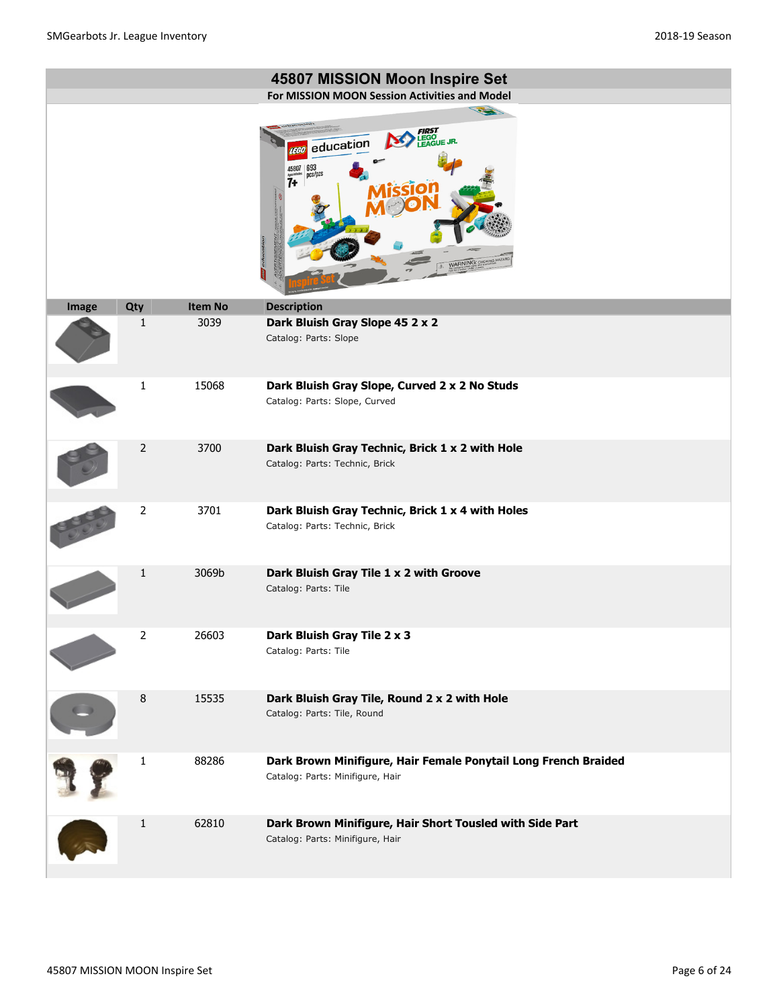|       |                |                | 45807 MISSION Moon Inspire Set<br>For MISSION MOON Session Activities and Model                     |
|-------|----------------|----------------|-----------------------------------------------------------------------------------------------------|
|       |                |                | 22<br>EGO<br>EAGUE JR.<br>education<br>$693$ <sub>pcs</sub> /pzs<br>45807<br>7+                     |
| Image | Qty            | <b>Item No</b> | <b>Description</b>                                                                                  |
|       | 1              | 3039           | Dark Bluish Gray Slope 45 2 x 2<br>Catalog: Parts: Slope                                            |
|       | 1              | 15068          | Dark Bluish Gray Slope, Curved 2 x 2 No Studs<br>Catalog: Parts: Slope, Curved                      |
|       | $\overline{2}$ | 3700           | Dark Bluish Gray Technic, Brick 1 x 2 with Hole<br>Catalog: Parts: Technic, Brick                   |
|       | $\overline{2}$ | 3701           | Dark Bluish Gray Technic, Brick 1 x 4 with Holes<br>Catalog: Parts: Technic, Brick                  |
|       | 1              | 3069b          | Dark Bluish Gray Tile 1 x 2 with Groove<br>Catalog: Parts: Tile                                     |
|       | $\overline{2}$ | 26603          | Dark Bluish Gray Tile 2 x 3<br>Catalog: Parts: Tile                                                 |
|       | 8              | 15535          | Dark Bluish Gray Tile, Round 2 x 2 with Hole<br>Catalog: Parts: Tile, Round                         |
|       | 1              | 88286          | Dark Brown Minifigure, Hair Female Ponytail Long French Braided<br>Catalog: Parts: Minifigure, Hair |
|       | 1              | 62810          | Dark Brown Minifigure, Hair Short Tousled with Side Part<br>Catalog: Parts: Minifigure, Hair        |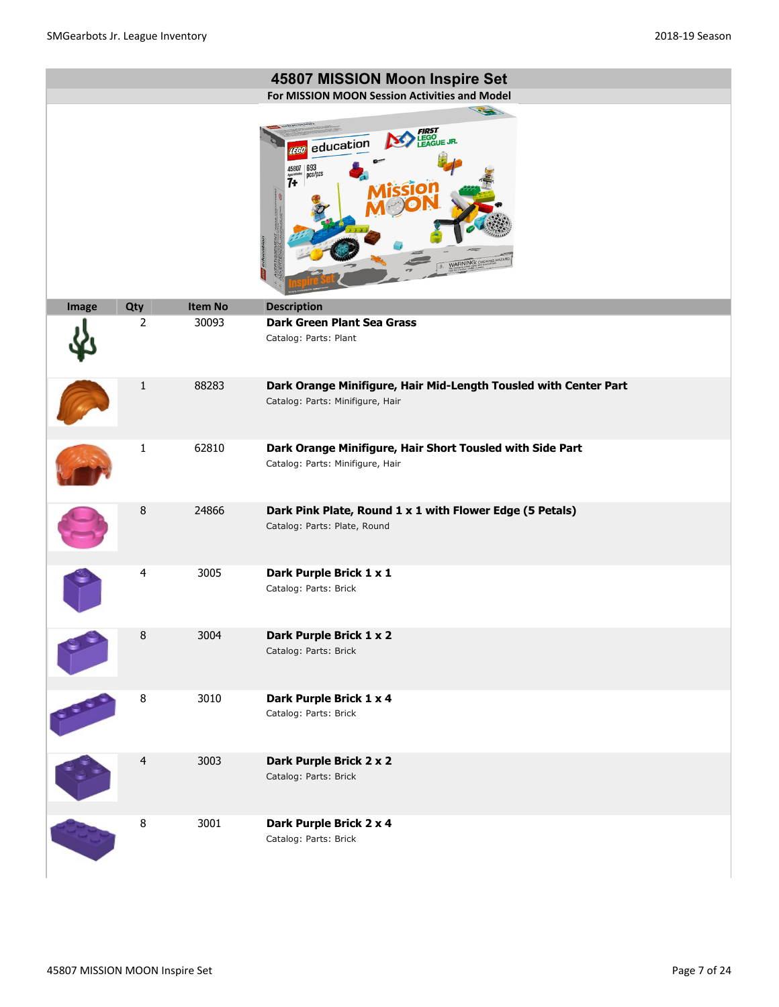|       |                |         | 45807 MISSION Moon Inspire Set<br>For MISSION MOON Session Activities and Model                                                    |
|-------|----------------|---------|------------------------------------------------------------------------------------------------------------------------------------|
|       |                |         | 1800<br>EGO JR.<br>education<br><b>TEGO</b><br>$\left  \frac{693}{\text{pcs}} \right $<br>45807<br>7+<br>education<br>WARNING: CHI |
| Image | Qty            | Item No | <b>Description</b>                                                                                                                 |
|       | $\overline{2}$ | 30093   | <b>Dark Green Plant Sea Grass</b><br>Catalog: Parts: Plant                                                                         |
|       | $\mathbf{1}$   | 88283   | Dark Orange Minifigure, Hair Mid-Length Tousled with Center Part<br>Catalog: Parts: Minifigure, Hair                               |
|       | $\mathbf{1}$   | 62810   | Dark Orange Minifigure, Hair Short Tousled with Side Part<br>Catalog: Parts: Minifigure, Hair                                      |
|       | $\, 8$         | 24866   | Dark Pink Plate, Round 1 x 1 with Flower Edge (5 Petals)<br>Catalog: Parts: Plate, Round                                           |
|       | 4              | 3005    | Dark Purple Brick 1 x 1<br>Catalog: Parts: Brick                                                                                   |
|       | 8              | 3004    | Dark Purple Brick 1 x 2<br>Catalog: Parts: Brick                                                                                   |
|       | 8              | 3010    | Dark Purple Brick 1 x 4<br>Catalog: Parts: Brick                                                                                   |
|       | $\overline{4}$ | 3003    | Dark Purple Brick 2 x 2<br>Catalog: Parts: Brick                                                                                   |
|       | $\bf 8$        | 3001    | Dark Purple Brick 2 x 4<br>Catalog: Parts: Brick                                                                                   |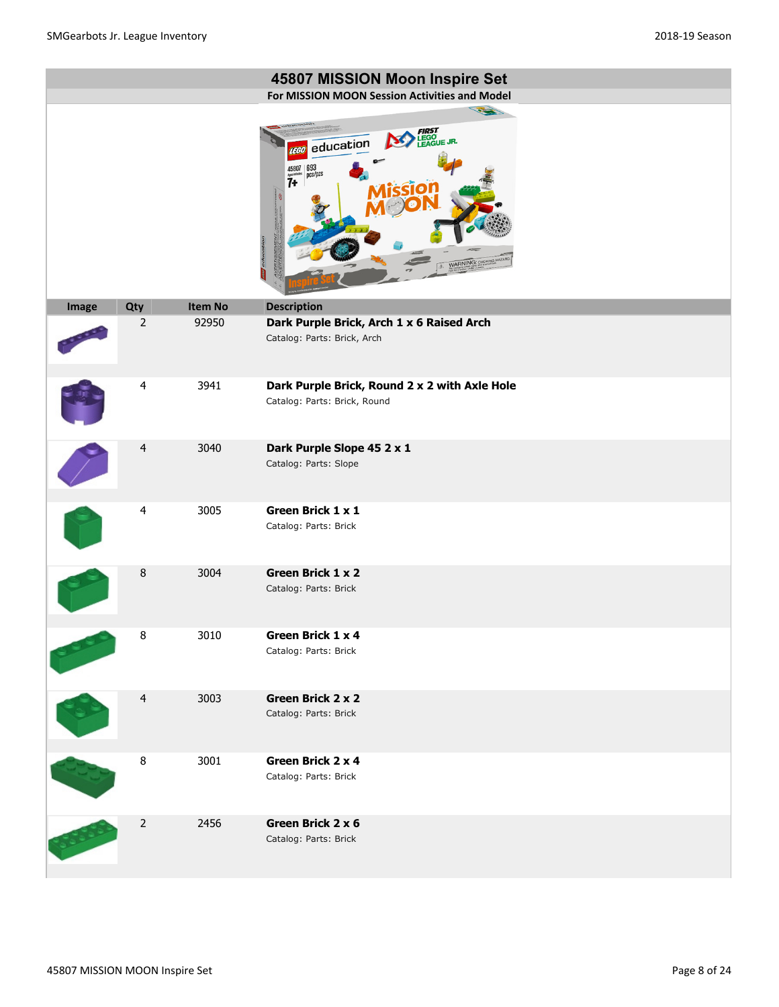|       |                |                | 45807 MISSION Moon Inspire Set<br>For MISSION MOON Session Activities and Model                                                                                                                                                   |
|-------|----------------|----------------|-----------------------------------------------------------------------------------------------------------------------------------------------------------------------------------------------------------------------------------|
|       |                |                | 32<br><b>FIRST</b><br>LEGO<br>LEAGUE JR.<br>education<br><b>LEGO</b><br>$\left  \begin{array}{l} 45807 \\ \frac{408866068}{1} \\ 7 + \end{array} \right  \overset{693}{\text{pcs}}\overset{7}{\text{pc}}$<br>oduc<br>WARNING: CHI |
| Image | Qty            | <b>Item No</b> | <b>Description</b>                                                                                                                                                                                                                |
|       | $\overline{2}$ | 92950          | Dark Purple Brick, Arch 1 x 6 Raised Arch<br>Catalog: Parts: Brick, Arch                                                                                                                                                          |
|       | $\overline{4}$ | 3941           | Dark Purple Brick, Round 2 x 2 with Axle Hole<br>Catalog: Parts: Brick, Round                                                                                                                                                     |
|       | $\overline{4}$ | 3040           | Dark Purple Slope 45 2 x 1<br>Catalog: Parts: Slope                                                                                                                                                                               |
|       | $\overline{4}$ | 3005           | Green Brick 1 x 1<br>Catalog: Parts: Brick                                                                                                                                                                                        |
|       | 8              | 3004           | Green Brick 1 x 2<br>Catalog: Parts: Brick                                                                                                                                                                                        |
|       | 8              | 3010           | Green Brick 1 x 4<br>Catalog: Parts: Brick                                                                                                                                                                                        |
|       | $\overline{4}$ | 3003           | Green Brick 2 x 2<br>Catalog: Parts: Brick                                                                                                                                                                                        |
|       | $\bf 8$        | 3001           | Green Brick 2 x 4<br>Catalog: Parts: Brick                                                                                                                                                                                        |
|       | $\mathbf 2$    | 2456           | Green Brick 2 x 6<br>Catalog: Parts: Brick                                                                                                                                                                                        |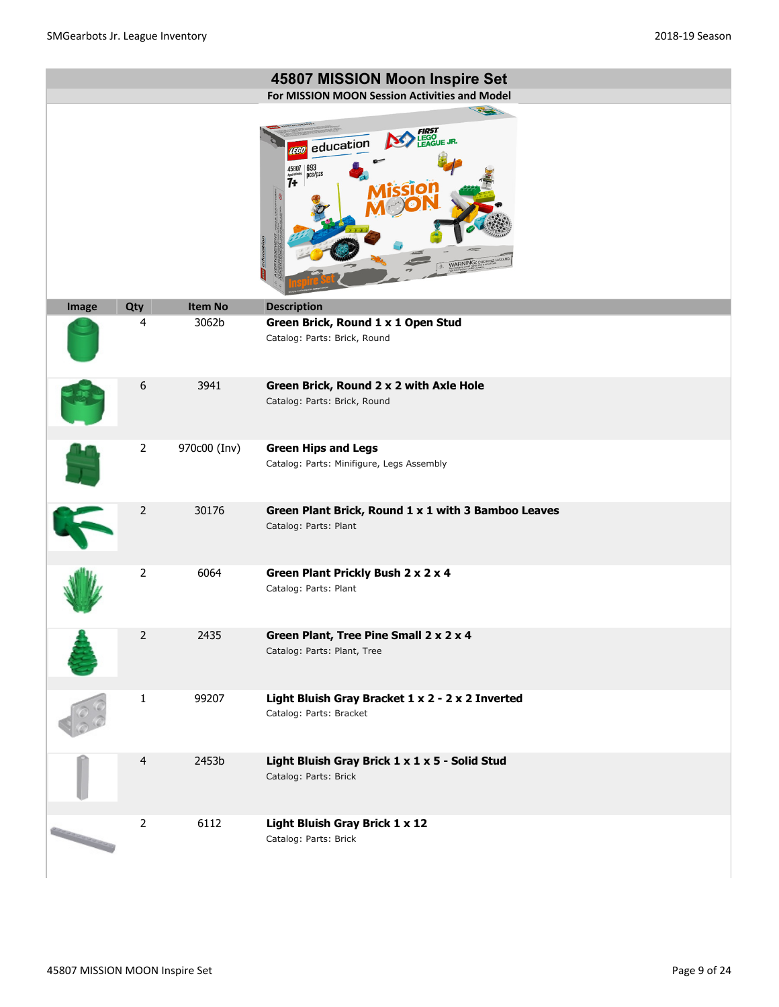|       |                |                | 45807 MISSION Moon Inspire Set                                                                                          |
|-------|----------------|----------------|-------------------------------------------------------------------------------------------------------------------------|
|       |                |                | For MISSION MOON Session Activities and Model                                                                           |
|       |                |                | 1200<br><b>EGO</b><br>EAGUE JR.<br>education<br><b>LEGO</b><br>$693$ pcs/pzs<br>45807<br>$\overline{7}$<br>WARNING: CHI |
| Image | Qty            | <b>Item No</b> | <b>Description</b>                                                                                                      |
|       | 4              | 3062b          | Green Brick, Round 1 x 1 Open Stud<br>Catalog: Parts: Brick, Round                                                      |
|       | 6              | 3941           | Green Brick, Round 2 x 2 with Axle Hole                                                                                 |
|       |                |                | Catalog: Parts: Brick, Round                                                                                            |
|       | $\overline{2}$ | 970c00 (Inv)   | <b>Green Hips and Legs</b>                                                                                              |
|       |                |                | Catalog: Parts: Minifigure, Legs Assembly                                                                               |
|       | $\overline{2}$ | 30176          | Green Plant Brick, Round 1 x 1 with 3 Bamboo Leaves<br>Catalog: Parts: Plant                                            |
|       | $\overline{2}$ | 6064           | Green Plant Prickly Bush 2 x 2 x 4<br>Catalog: Parts: Plant                                                             |
|       | $\overline{2}$ | 2435           | Green Plant, Tree Pine Small 2 x 2 x 4<br>Catalog: Parts: Plant, Tree                                                   |
|       | $\mathbf{1}$   | 99207          | Light Bluish Gray Bracket 1 x 2 - 2 x 2 Inverted<br>Catalog: Parts: Bracket                                             |
|       | $\overline{4}$ | 2453b          | Light Bluish Gray Brick 1 x 1 x 5 - Solid Stud<br>Catalog: Parts: Brick                                                 |
|       | $\overline{2}$ | 6112           | Light Bluish Gray Brick 1 x 12<br>Catalog: Parts: Brick                                                                 |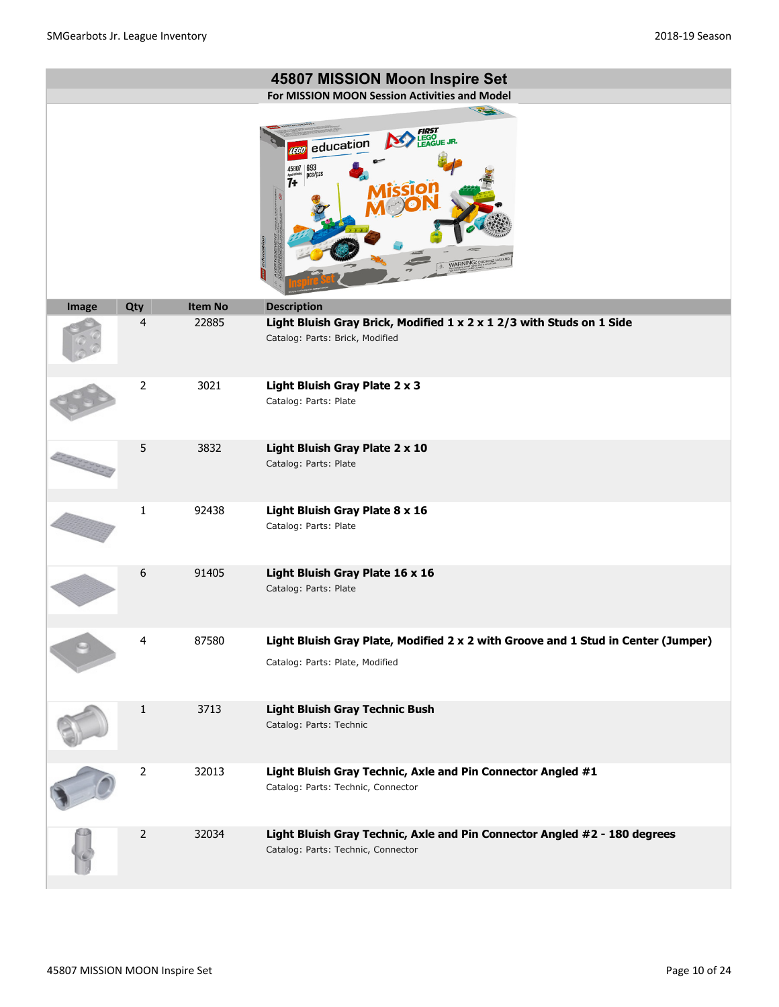|       |                |         | 45807 MISSION Moon Inspire Set                                                                                       |
|-------|----------------|---------|----------------------------------------------------------------------------------------------------------------------|
|       |                |         | For MISSION MOON Session Activities and Model<br>100                                                                 |
|       |                |         | LEGO<br>EAGUE JR.<br>education<br>693<br>pcs/pzs<br>45807<br>7+<br>educatio<br>WARNING: CHOKE                        |
| Image | Qty            | Item No | <b>Description</b>                                                                                                   |
|       | 4              | 22885   | Light Bluish Gray Brick, Modified 1 x 2 x 1 2/3 with Studs on 1 Side<br>Catalog: Parts: Brick, Modified              |
|       | $\overline{2}$ | 3021    | Light Bluish Gray Plate 2 x 3<br>Catalog: Parts: Plate                                                               |
|       | 5              | 3832    | Light Bluish Gray Plate 2 x 10<br>Catalog: Parts: Plate                                                              |
|       | $\mathbf{1}$   | 92438   | Light Bluish Gray Plate 8 x 16<br>Catalog: Parts: Plate                                                              |
|       | 6              | 91405   | Light Bluish Gray Plate 16 x 16<br>Catalog: Parts: Plate                                                             |
|       | 4              | 87580   | Light Bluish Gray Plate, Modified 2 x 2 with Groove and 1 Stud in Center (Jumper)<br>Catalog: Parts: Plate, Modified |
|       | $\mathbf{1}$   | 3713    | <b>Light Bluish Gray Technic Bush</b><br>Catalog: Parts: Technic                                                     |
|       | $\overline{2}$ | 32013   | Light Bluish Gray Technic, Axle and Pin Connector Angled #1<br>Catalog: Parts: Technic, Connector                    |
|       | $\overline{2}$ | 32034   | Light Bluish Gray Technic, Axle and Pin Connector Angled #2 - 180 degrees<br>Catalog: Parts: Technic, Connector      |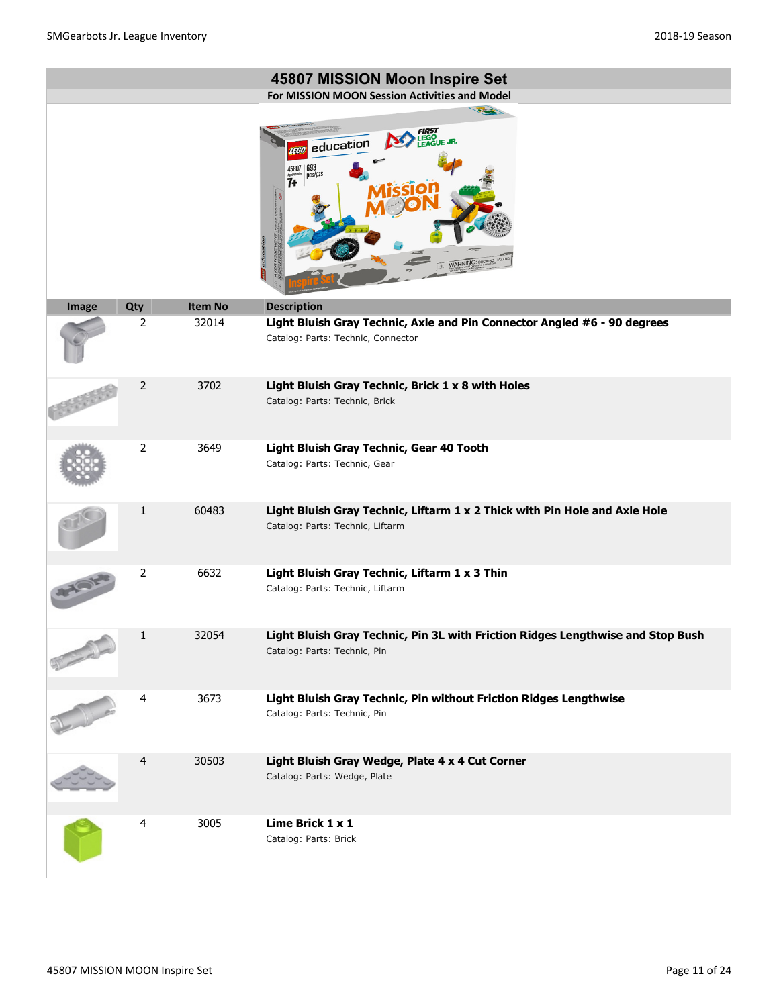|       |                |                | 45807 MISSION Moon Inspire Set                                                                                  |
|-------|----------------|----------------|-----------------------------------------------------------------------------------------------------------------|
|       |                |                | For MISSION MOON Session Activities and Model                                                                   |
|       |                |                | education<br>693<br>ncs/pzs                                                                                     |
| Image | Qty            | <b>Item No</b> | <b>Description</b>                                                                                              |
|       | 2              | 32014          | Light Bluish Gray Technic, Axle and Pin Connector Angled #6 - 90 degrees<br>Catalog: Parts: Technic, Connector  |
|       | 2              | 3702           | Light Bluish Gray Technic, Brick 1 x 8 with Holes<br>Catalog: Parts: Technic, Brick                             |
|       | $\overline{2}$ | 3649           | Light Bluish Gray Technic, Gear 40 Tooth<br>Catalog: Parts: Technic, Gear                                       |
|       | 1              | 60483          | Light Bluish Gray Technic, Liftarm 1 x 2 Thick with Pin Hole and Axle Hole<br>Catalog: Parts: Technic, Liftarm  |
|       | $\overline{2}$ | 6632           | Light Bluish Gray Technic, Liftarm 1 x 3 Thin<br>Catalog: Parts: Technic, Liftarm                               |
|       | $\mathbf 1$    | 32054          | Light Bluish Gray Technic, Pin 3L with Friction Ridges Lengthwise and Stop Bush<br>Catalog: Parts: Technic, Pin |
|       | 4              | 3673           | Light Bluish Gray Technic, Pin without Friction Ridges Lengthwise<br>Catalog: Parts: Technic, Pin               |
|       | $\overline{4}$ | 30503          | Light Bluish Gray Wedge, Plate 4 x 4 Cut Corner<br>Catalog: Parts: Wedge, Plate                                 |
|       | 4              | 3005           | Lime Brick 1 x 1<br>Catalog: Parts: Brick                                                                       |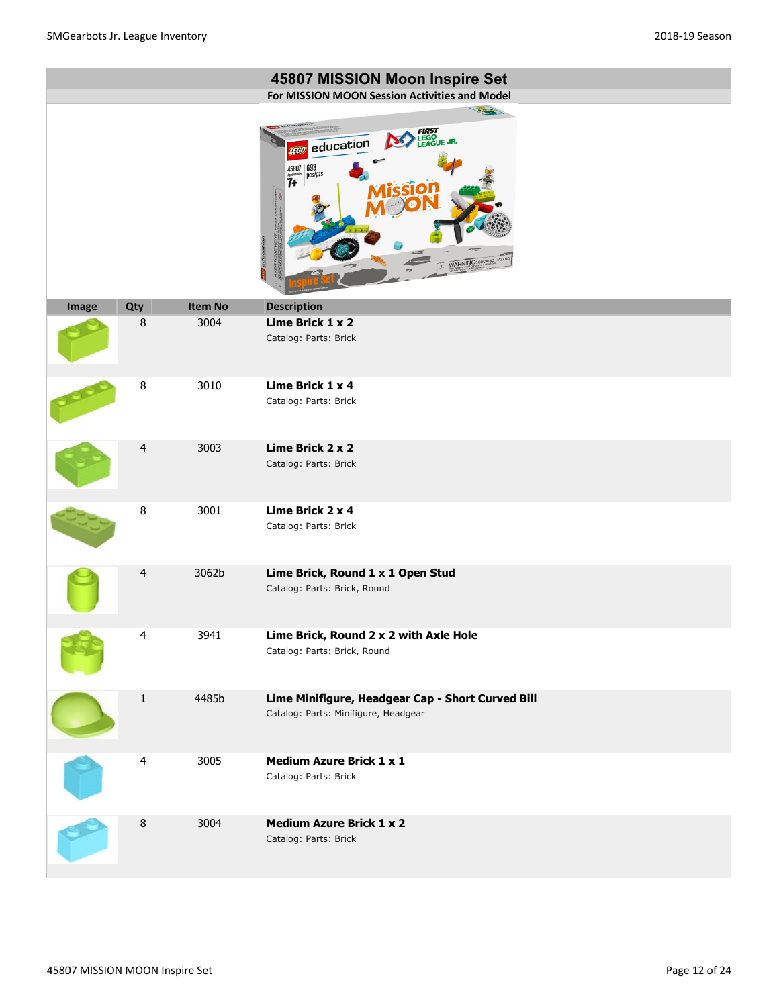|       |                         |                | 45807 MISSION Moon Inspire Set<br>For MISSION MOON Session Activities and Model                                                                     |
|-------|-------------------------|----------------|-----------------------------------------------------------------------------------------------------------------------------------------------------|
|       |                         |                | 32<br><b>FIRST</b><br>LEGO<br>LEAGUE JR.<br>education<br><b>LEGO</b><br>$693$ <sub>pcs/pzs</sub><br>45807<br>$\dddot{7}$<br>oduc<br>WARNING: CHOKIN |
| Image | Qty                     | <b>Item No</b> | <b>Description</b>                                                                                                                                  |
|       | $\, 8$                  | 3004           | Lime Brick 1 x 2<br>Catalog: Parts: Brick                                                                                                           |
|       | 8                       | 3010           | Lime Brick 1 x 4<br>Catalog: Parts: Brick                                                                                                           |
|       | $\overline{4}$          | 3003           | Lime Brick 2 x 2<br>Catalog: Parts: Brick                                                                                                           |
|       | $\, 8$                  | 3001           | Lime Brick 2 x 4<br>Catalog: Parts: Brick                                                                                                           |
|       | 4                       | 3062b          | Lime Brick, Round 1 x 1 Open Stud<br>Catalog: Parts: Brick, Round                                                                                   |
|       | $\overline{\mathbf{4}}$ | 3941           | Lime Brick, Round 2 x 2 with Axle Hole<br>Catalog: Parts: Brick, Round                                                                              |
|       | $\mathbf{1}$            | 4485b          | Lime Minifigure, Headgear Cap - Short Curved Bill<br>Catalog: Parts: Minifigure, Headgear                                                           |
|       | $\overline{4}$          | 3005           | <b>Medium Azure Brick 1 x 1</b><br>Catalog: Parts: Brick                                                                                            |
|       | 8                       | 3004           | <b>Medium Azure Brick 1 x 2</b><br>Catalog: Parts: Brick                                                                                            |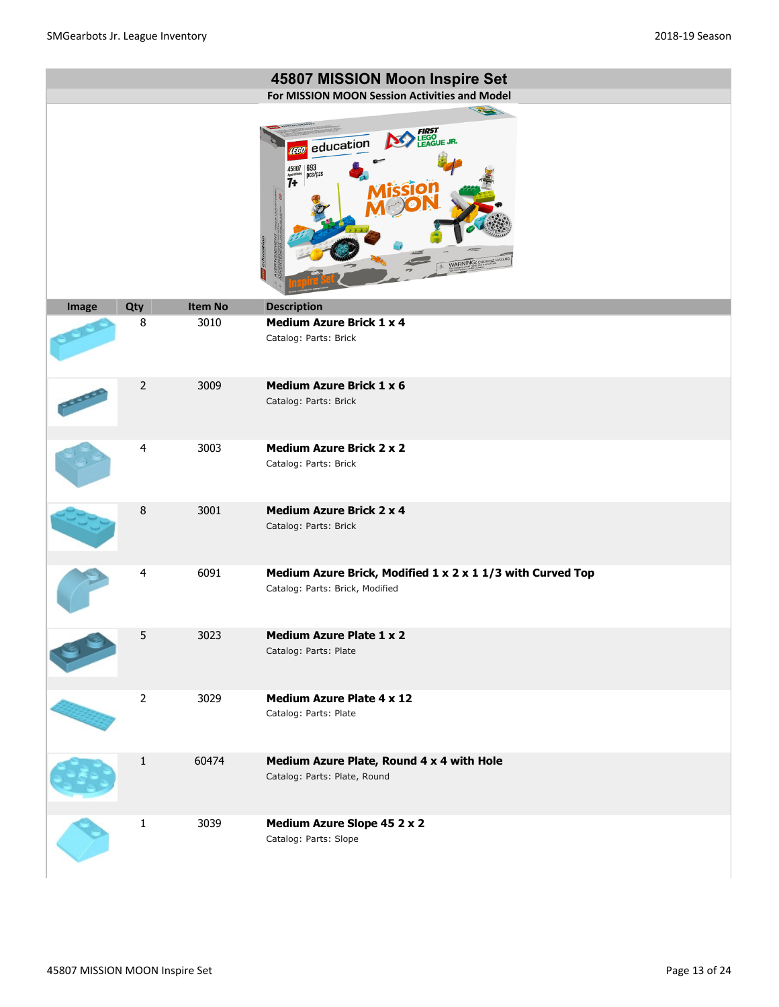|       |                |                | 45807 MISSION Moon Inspire Set                                                                                                                            |
|-------|----------------|----------------|-----------------------------------------------------------------------------------------------------------------------------------------------------------|
|       |                |                | For MISSION MOON Session Activities and Model                                                                                                             |
|       |                |                | <b>FIRST</b><br>LEGO<br>LEAGUE JR.<br>education<br><b>EGO</b><br>$693$ <sub>pcs/pzs</sub><br>45807<br>$\dddot{7}$ <sup>*</sup><br>दवा<br>WARNING: CHOKING |
| Image | Qty            | <b>Item No</b> | <b>Description</b>                                                                                                                                        |
|       | 8              | 3010           | <b>Medium Azure Brick 1 x 4</b><br>Catalog: Parts: Brick                                                                                                  |
|       | $\overline{2}$ | 3009           | <b>Medium Azure Brick 1 x 6</b>                                                                                                                           |
|       |                |                | Catalog: Parts: Brick                                                                                                                                     |
|       | $\overline{4}$ | 3003           | <b>Medium Azure Brick 2 x 2</b>                                                                                                                           |
|       |                |                | Catalog: Parts: Brick                                                                                                                                     |
|       | 8              | 3001           | <b>Medium Azure Brick 2 x 4</b><br>Catalog: Parts: Brick                                                                                                  |
|       | 4              | 6091           | Medium Azure Brick, Modified 1 x 2 x 1 1/3 with Curved Top                                                                                                |
|       |                |                | Catalog: Parts: Brick, Modified                                                                                                                           |
|       | 5              | 3023           | <b>Medium Azure Plate 1 x 2</b><br>Catalog: Parts: Plate                                                                                                  |
|       | $\overline{2}$ | 3029           | <b>Medium Azure Plate 4 x 12</b><br>Catalog: Parts: Plate                                                                                                 |
|       | $\mathbf{1}$   | 60474          | Medium Azure Plate, Round 4 x 4 with Hole<br>Catalog: Parts: Plate, Round                                                                                 |
|       | $\mathbf 1$    | 3039           | Medium Azure Slope 45 2 x 2<br>Catalog: Parts: Slope                                                                                                      |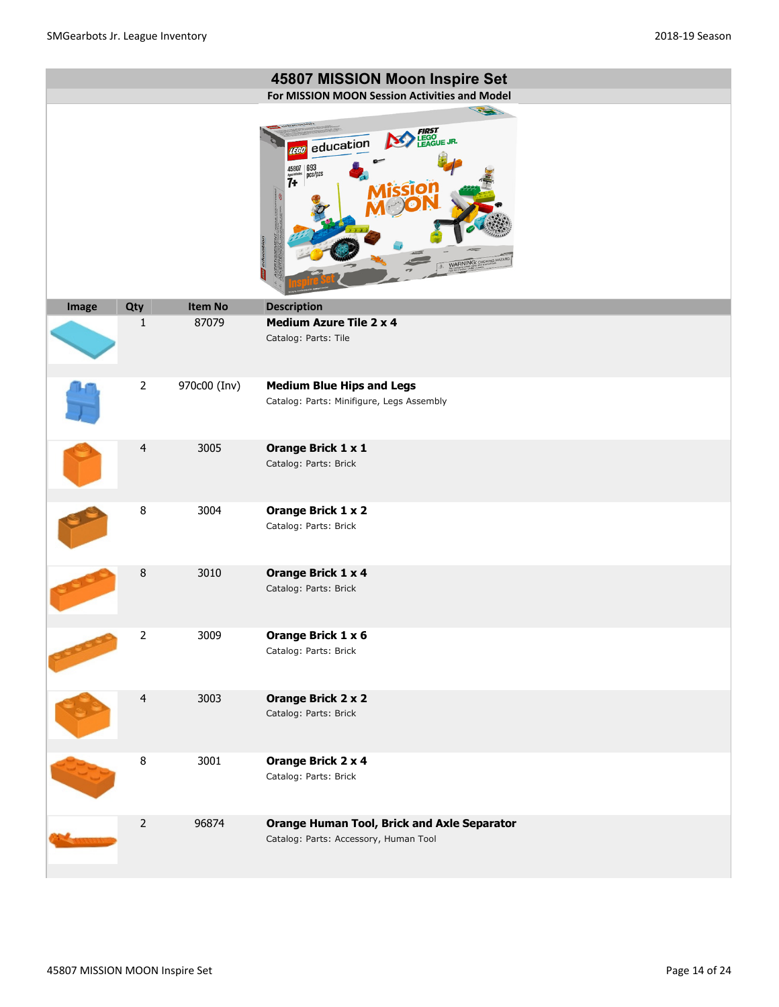|       |                     |                  | 45807 MISSION Moon Inspire Set<br>For MISSION MOON Session Activities and Model<br><b>CALL OF</b><br><b>FIRST</b><br>LEGO<br>LEAGUE JR.<br>education<br><b>LEGO</b><br>$45807 \overline{\smash{\big)}\, \overline{\mathsf{pcs}}\, \overline{\mathsf{pcs}}\, \overline{\mathsf{pcs}}\, \overline{\mathsf{pcs}}\,$<br>7 <sup>4</sup><br>oduc<br><b>NARNING: CH</b> |
|-------|---------------------|------------------|------------------------------------------------------------------------------------------------------------------------------------------------------------------------------------------------------------------------------------------------------------------------------------------------------------------------------------------------------------------|
| Image | Qty<br>$\mathbf{1}$ | Item No<br>87079 | <b>Description</b><br><b>Medium Azure Tile 2 x 4</b>                                                                                                                                                                                                                                                                                                             |
|       |                     |                  | Catalog: Parts: Tile                                                                                                                                                                                                                                                                                                                                             |
|       | $\overline{2}$      | 970c00 (Inv)     | <b>Medium Blue Hips and Legs</b><br>Catalog: Parts: Minifigure, Legs Assembly                                                                                                                                                                                                                                                                                    |
|       | $\overline{4}$      | 3005             | Orange Brick 1 x 1<br>Catalog: Parts: Brick                                                                                                                                                                                                                                                                                                                      |
|       | $\bf 8$             | 3004             | Orange Brick 1 x 2<br>Catalog: Parts: Brick                                                                                                                                                                                                                                                                                                                      |
|       | 8                   | 3010             | <b>Orange Brick 1 x 4</b><br>Catalog: Parts: Brick                                                                                                                                                                                                                                                                                                               |
|       | $\overline{2}$      | 3009             | Orange Brick 1 x 6<br>Catalog: Parts: Brick                                                                                                                                                                                                                                                                                                                      |
|       | $\overline{4}$      | 3003             | <b>Orange Brick 2 x 2</b><br>Catalog: Parts: Brick                                                                                                                                                                                                                                                                                                               |
|       | $\bf 8$             | 3001             | Orange Brick 2 x 4<br>Catalog: Parts: Brick                                                                                                                                                                                                                                                                                                                      |
|       | $\mathbf 2$         | 96874            | <b>Orange Human Tool, Brick and Axle Separator</b><br>Catalog: Parts: Accessory, Human Tool                                                                                                                                                                                                                                                                      |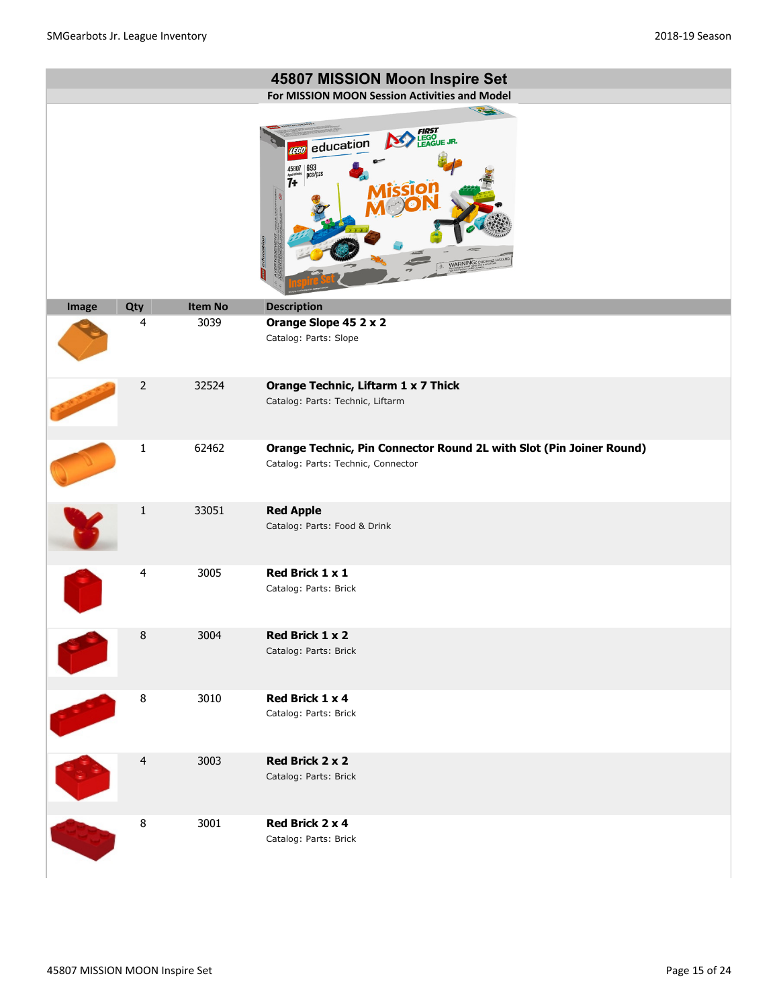|       |                |         | 45807 MISSION Moon Inspire Set<br>For MISSION MOON Session Activities and Model                                                          |
|-------|----------------|---------|------------------------------------------------------------------------------------------------------------------------------------------|
|       |                |         | 12<br>LEGO<br>LEAGUE JR.<br>education<br>1360<br>$\frac{693}{\text{pcs/}\text{pzs}}$<br>45807<br>$\dddot{7}$<br>oducatic<br>WARNING: CHI |
| Image | Qty            | Item No | <b>Description</b>                                                                                                                       |
|       | 4              | 3039    | Orange Slope 45 2 x 2<br>Catalog: Parts: Slope                                                                                           |
|       | $\overline{2}$ | 32524   | Orange Technic, Liftarm 1 x 7 Thick<br>Catalog: Parts: Technic, Liftarm                                                                  |
|       | $\mathbf{1}$   | 62462   | Orange Technic, Pin Connector Round 2L with Slot (Pin Joiner Round)<br>Catalog: Parts: Technic, Connector                                |
|       | 1              | 33051   | <b>Red Apple</b><br>Catalog: Parts: Food & Drink                                                                                         |
|       | 4              | 3005    | Red Brick 1 x 1<br>Catalog: Parts: Brick                                                                                                 |
|       | $\, 8$         | 3004    | Red Brick 1 x 2<br>Catalog: Parts: Brick                                                                                                 |
|       | 8              | 3010    | Red Brick 1 x 4<br>Catalog: Parts: Brick                                                                                                 |
|       | $\overline{4}$ | 3003    | Red Brick 2 x 2<br>Catalog: Parts: Brick                                                                                                 |
|       | $\, 8$         | 3001    | Red Brick 2 x 4<br>Catalog: Parts: Brick                                                                                                 |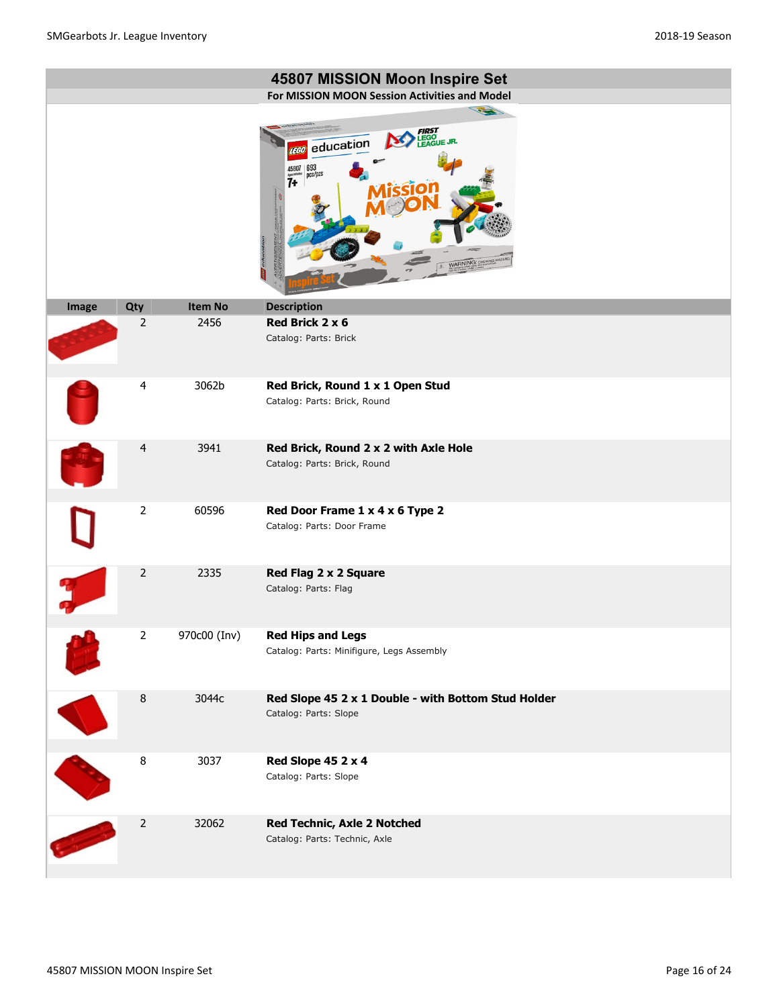|       |                       | <b>Item No</b> | 45807 MISSION Moon Inspire Set<br>For MISSION MOON Session Activities and Model<br>12<br><b>FIRST</b><br>LEGO<br>LEAGUE JR.<br>education<br><b>LEGO</b><br>$\frac{693}{pc}$ s/pzs<br>45807<br>$\overline{7}$<br>a du<br><b>NARNING: CH</b><br><b>Description</b> |
|-------|-----------------------|----------------|------------------------------------------------------------------------------------------------------------------------------------------------------------------------------------------------------------------------------------------------------------------|
| Image | Qty<br>$\overline{2}$ | 2456           | Red Brick 2 x 6<br>Catalog: Parts: Brick                                                                                                                                                                                                                         |
|       | 4                     | 3062b          | Red Brick, Round 1 x 1 Open Stud<br>Catalog: Parts: Brick, Round                                                                                                                                                                                                 |
|       | $\overline{4}$        | 3941           | Red Brick, Round 2 x 2 with Axle Hole<br>Catalog: Parts: Brick, Round                                                                                                                                                                                            |
|       | $\overline{2}$        | 60596          | Red Door Frame 1 x 4 x 6 Type 2<br>Catalog: Parts: Door Frame                                                                                                                                                                                                    |
|       | $\overline{2}$        | 2335           | Red Flag 2 x 2 Square<br>Catalog: Parts: Flag                                                                                                                                                                                                                    |
|       | $\overline{2}$        | 970c00 (Inv)   | <b>Red Hips and Legs</b><br>Catalog: Parts: Minifigure, Legs Assembly                                                                                                                                                                                            |
|       | $\, 8$                | 3044c          | Red Slope 45 2 x 1 Double - with Bottom Stud Holder<br>Catalog: Parts: Slope                                                                                                                                                                                     |
|       | $\bf 8$               | 3037           | Red Slope 45 2 x 4<br>Catalog: Parts: Slope                                                                                                                                                                                                                      |
|       | $\overline{2}$        | 32062          | Red Technic, Axle 2 Notched<br>Catalog: Parts: Technic, Axle                                                                                                                                                                                                     |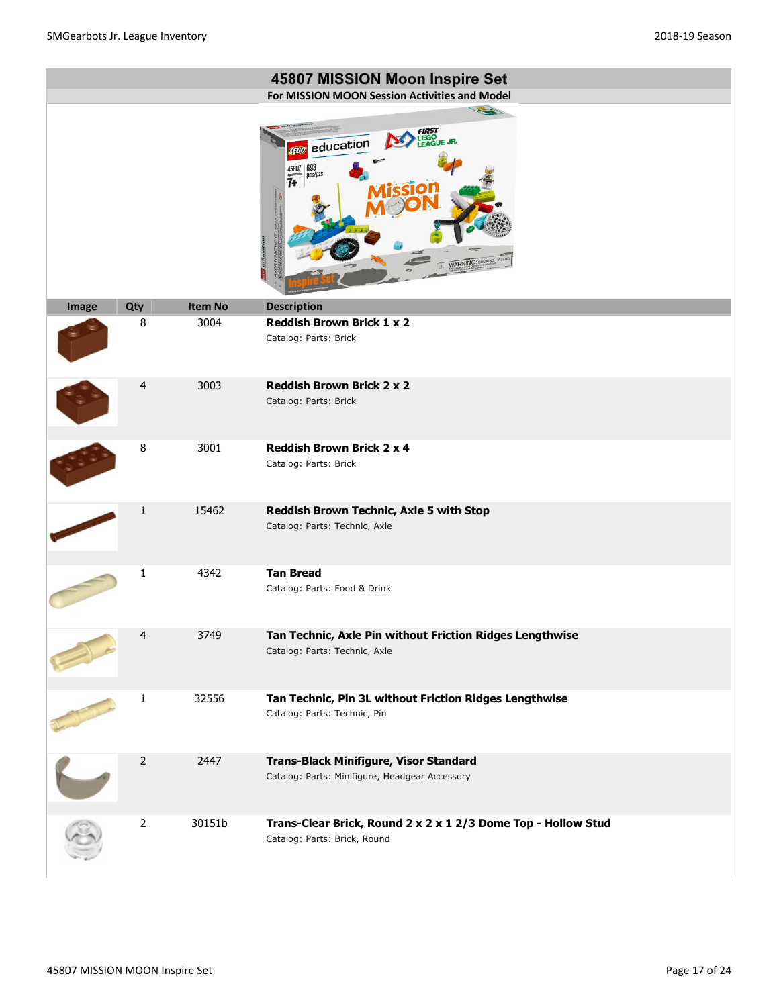|       |                |                | 45807 MISSION Moon Inspire Set                                                                                                                  |
|-------|----------------|----------------|-------------------------------------------------------------------------------------------------------------------------------------------------|
|       |                |                | For MISSION MOON Session Activities and Model                                                                                                   |
|       |                |                | <b>FIRST</b><br>LEGO<br>LEAGUE JR.<br>education<br><b>TEGO</b><br>$693$ <sub>pcs/pzs</sub><br>$\overline{7}$<br><b>GGIO</b><br>WARNING: CHOKING |
| Image | Qty            | <b>Item No</b> | <b>Description</b>                                                                                                                              |
|       | 8              | 3004           | <b>Reddish Brown Brick 1 x 2</b><br>Catalog: Parts: Brick                                                                                       |
|       | 4              | 3003           | <b>Reddish Brown Brick 2 x 2</b><br>Catalog: Parts: Brick                                                                                       |
|       | 8              | 3001           | <b>Reddish Brown Brick 2 x 4</b><br>Catalog: Parts: Brick                                                                                       |
|       | $\mathbf{1}$   | 15462          | Reddish Brown Technic, Axle 5 with Stop<br>Catalog: Parts: Technic, Axle                                                                        |
|       | 1              | 4342           | <b>Tan Bread</b><br>Catalog: Parts: Food & Drink                                                                                                |
|       | 4              | 3749           | Tan Technic, Axle Pin without Friction Ridges Lengthwise<br>Catalog: Parts: Technic, Axle                                                       |
|       | $\mathbf{1}$   | 32556          | Tan Technic, Pin 3L without Friction Ridges Lengthwise<br>Catalog: Parts: Technic, Pin                                                          |
|       | $\overline{2}$ | 2447           | Trans-Black Minifigure, Visor Standard<br>Catalog: Parts: Minifigure, Headgear Accessory                                                        |
|       | $\overline{2}$ | 30151b         | Trans-Clear Brick, Round 2 x 2 x 1 2/3 Dome Top - Hollow Stud<br>Catalog: Parts: Brick, Round                                                   |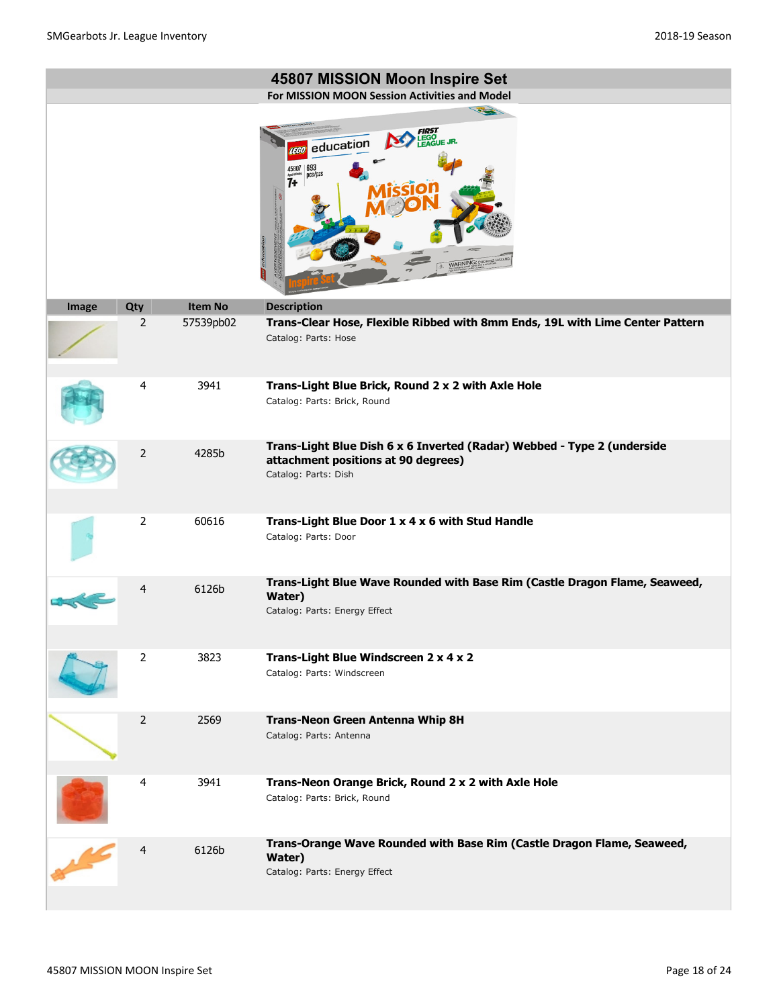|               |                |                | 45807 MISSION Moon Inspire Set                                                                                                         |
|---------------|----------------|----------------|----------------------------------------------------------------------------------------------------------------------------------------|
|               |                |                | For MISSION MOON Session Activities and Model                                                                                          |
|               |                |                | 120<br>education<br>$693$ pcs/pzs<br>45807<br>7+<br><b>WARNING: CHO</b>                                                                |
| Image         | Qty            | <b>Item No</b> | <b>Description</b>                                                                                                                     |
|               | 2              | 57539pb02      | Trans-Clear Hose, Flexible Ribbed with 8mm Ends, 19L with Lime Center Pattern<br>Catalog: Parts: Hose                                  |
|               | 4              | 3941           | Trans-Light Blue Brick, Round 2 x 2 with Axle Hole<br>Catalog: Parts: Brick, Round                                                     |
|               | 2              | 4285b          | Trans-Light Blue Dish 6 x 6 Inverted (Radar) Webbed - Type 2 (underside<br>attachment positions at 90 degrees)<br>Catalog: Parts: Dish |
|               | $\overline{2}$ | 60616          | Trans-Light Blue Door 1 x 4 x 6 with Stud Handle<br>Catalog: Parts: Door                                                               |
|               | 4              | 6126b          | Trans-Light Blue Wave Rounded with Base Rim (Castle Dragon Flame, Seaweed,<br>Water)<br>Catalog: Parts: Energy Effect                  |
|               | $\overline{2}$ | 3823           | Trans-Light Blue Windscreen 2 x 4 x 2<br>Catalog: Parts: Windscreen                                                                    |
|               | 2              | 2569           | <b>Trans-Neon Green Antenna Whip 8H</b><br>Catalog: Parts: Antenna                                                                     |
|               | 4              | 3941           | Trans-Neon Orange Brick, Round 2 x 2 with Axle Hole<br>Catalog: Parts: Brick, Round                                                    |
| $\frac{1}{2}$ | $\overline{4}$ | 6126b          | Trans-Orange Wave Rounded with Base Rim (Castle Dragon Flame, Seaweed,<br>Water)<br>Catalog: Parts: Energy Effect                      |

**Contract Contract Contract Contract**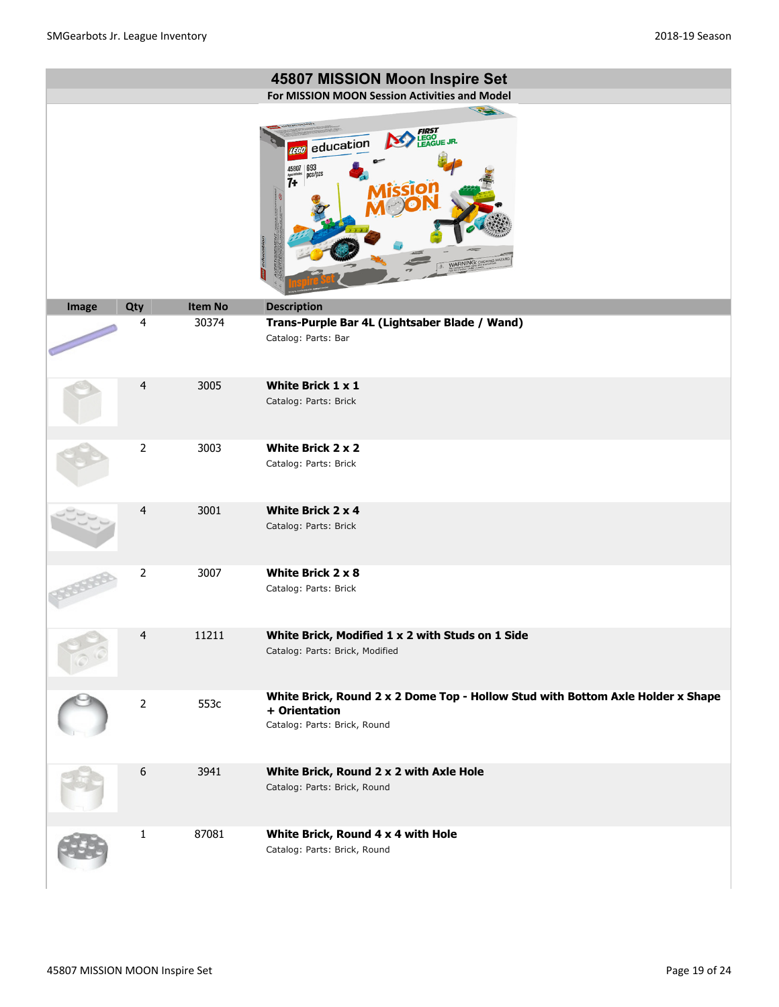|       |                  |                | 45807 MISSION Moon Inspire Set                                                                                                                                  |
|-------|------------------|----------------|-----------------------------------------------------------------------------------------------------------------------------------------------------------------|
|       |                  |                | For MISSION MOON Session Activities and Model                                                                                                                   |
|       |                  |                | 12<br><b>FIRST</b><br>LEGO<br>LEAGUE JR.<br>education<br><b>LEGO</b><br>$\left  \frac{693}{\text{pcs}} \right $<br>45807<br>7+<br>oduc<br><b>VARNING: CHOKI</b> |
| Image | Qty              | <b>Item No</b> | <b>Description</b>                                                                                                                                              |
|       | 4                | 30374          | Trans-Purple Bar 4L (Lightsaber Blade / Wand)<br>Catalog: Parts: Bar                                                                                            |
|       | $\overline{4}$   | 3005           | White Brick $1 \times 1$                                                                                                                                        |
|       |                  |                | Catalog: Parts: Brick                                                                                                                                           |
|       | $\overline{2}$   | 3003           | White Brick 2 x 2                                                                                                                                               |
|       |                  |                | Catalog: Parts: Brick                                                                                                                                           |
|       | $\overline{4}$   | 3001           | White Brick 2 x 4<br>Catalog: Parts: Brick                                                                                                                      |
|       | $\overline{2}$   | 3007           | White Brick 2 x 8<br>Catalog: Parts: Brick                                                                                                                      |
|       | $\overline{4}$   | 11211          | White Brick, Modified 1 x 2 with Studs on 1 Side                                                                                                                |
|       |                  |                | Catalog: Parts: Brick, Modified                                                                                                                                 |
|       | $\overline{2}$   | 553c           | White Brick, Round 2 x 2 Dome Top - Hollow Stud with Bottom Axle Holder x Shape<br>+ Orientation<br>Catalog: Parts: Brick, Round                                |
|       | $\boldsymbol{6}$ | 3941           | White Brick, Round 2 x 2 with Axle Hole<br>Catalog: Parts: Brick, Round                                                                                         |
|       | $\mathbf{1}$     | 87081          | White Brick, Round 4 x 4 with Hole                                                                                                                              |
|       |                  |                | Catalog: Parts: Brick, Round                                                                                                                                    |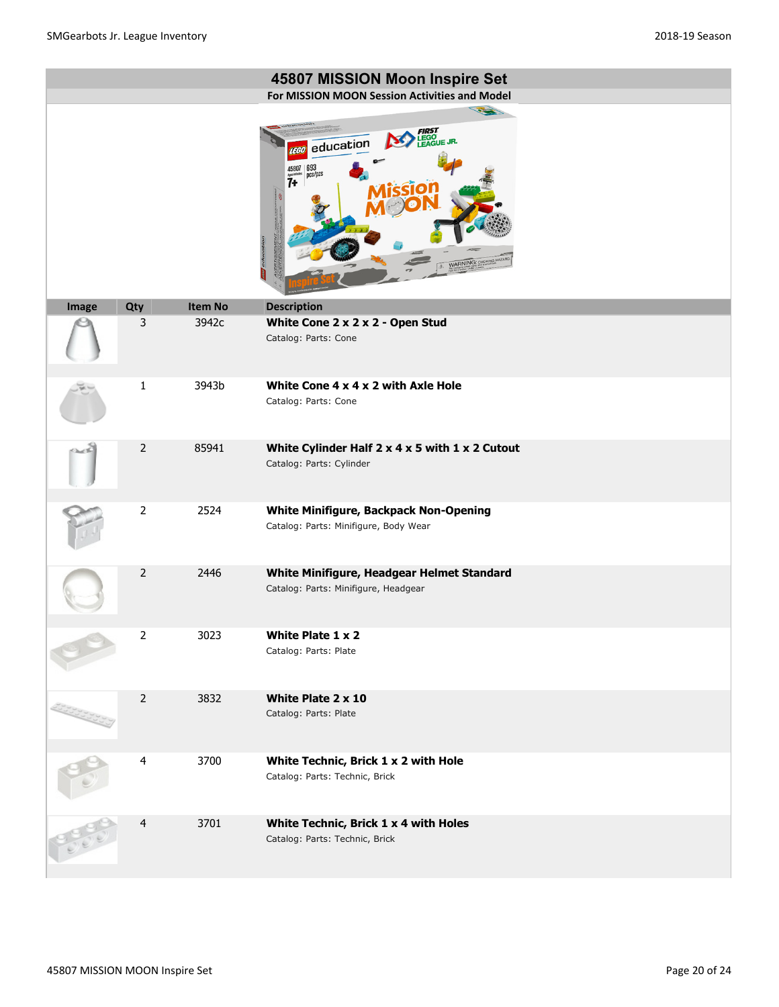|       |                |         | 45807 MISSION Moon Inspire Set<br>For MISSION MOON Session Activities and Model                                                     |
|-------|----------------|---------|-------------------------------------------------------------------------------------------------------------------------------------|
|       |                |         | 12<br><b>EGO</b><br>EAGUE JR.<br>education<br>$\left  \frac{693}{\text{pcs}} \right $<br>45807<br>7+<br>oduc<br>WARNING: CHOKING HA |
| Image | Qty            | Item No | <b>Description</b>                                                                                                                  |
|       | 3              | 3942c   | White Cone 2 x 2 x 2 - Open Stud<br>Catalog: Parts: Cone                                                                            |
|       | $\mathbf{1}$   | 3943b   | White Cone 4 x 4 x 2 with Axle Hole<br>Catalog: Parts: Cone                                                                         |
|       | 2              | 85941   | White Cylinder Half $2 \times 4 \times 5$ with $1 \times 2$ Cutout<br>Catalog: Parts: Cylinder                                      |
|       | $\overline{2}$ | 2524    | <b>White Minifigure, Backpack Non-Opening</b><br>Catalog: Parts: Minifigure, Body Wear                                              |
|       | $\overline{2}$ | 2446    | White Minifigure, Headgear Helmet Standard<br>Catalog: Parts: Minifigure, Headgear                                                  |
|       | $\mathbf 2$    | 3023    | White Plate 1 x 2<br>Catalog: Parts: Plate                                                                                          |
|       | $\overline{2}$ | 3832    | White Plate 2 x 10<br>Catalog: Parts: Plate                                                                                         |
|       | 4              | 3700    | White Technic, Brick 1 x 2 with Hole<br>Catalog: Parts: Technic, Brick                                                              |
|       | 4              | 3701    | White Technic, Brick 1 x 4 with Holes<br>Catalog: Parts: Technic, Brick                                                             |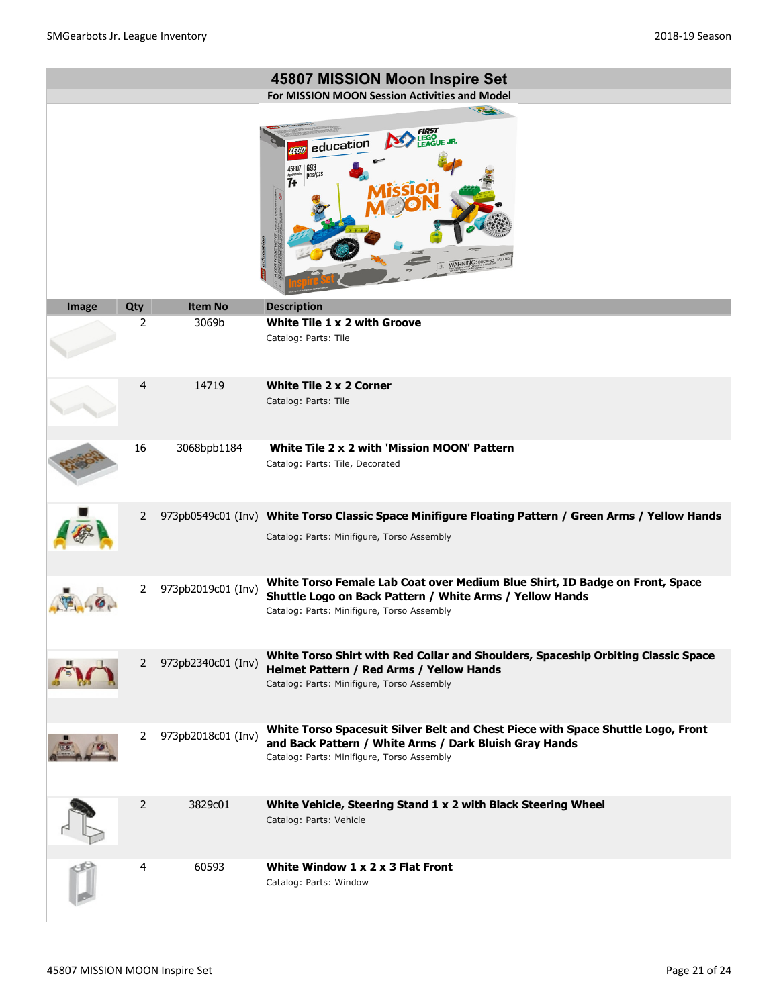|       |                |                    | 45807 MISSION Moon Inspire Set                                                                                                                                                           |
|-------|----------------|--------------------|------------------------------------------------------------------------------------------------------------------------------------------------------------------------------------------|
|       |                |                    | For MISSION MOON Session Activities and Model                                                                                                                                            |
|       |                |                    | 22<br>EGO<br>FAGUE JR.<br>education<br>693<br>ncs/pzs<br>7+<br><b>VARNING: CHOKIN</b>                                                                                                    |
| Image | Qty            | <b>Item No</b>     | <b>Description</b>                                                                                                                                                                       |
|       | $\overline{2}$ | 3069b              | White Tile 1 x 2 with Groove<br>Catalog: Parts: Tile                                                                                                                                     |
|       | $\overline{4}$ | 14719              | <b>White Tile 2 x 2 Corner</b><br>Catalog: Parts: Tile                                                                                                                                   |
|       | 16             | 3068bpb1184        | White Tile 2 x 2 with 'Mission MOON' Pattern<br>Catalog: Parts: Tile, Decorated                                                                                                          |
|       | 2              |                    | 973pb0549c01 (Inv) White Torso Classic Space Minifigure Floating Pattern / Green Arms / Yellow Hands<br>Catalog: Parts: Minifigure, Torso Assembly                                       |
|       | $\overline{2}$ | 973pb2019c01 (Inv) | White Torso Female Lab Coat over Medium Blue Shirt, ID Badge on Front, Space<br>Shuttle Logo on Back Pattern / White Arms / Yellow Hands<br>Catalog: Parts: Minifigure, Torso Assembly   |
|       | 2              | 973pb2340c01 (Inv) | White Torso Shirt with Red Collar and Shoulders, Spaceship Orbiting Classic Space<br>Helmet Pattern / Red Arms / Yellow Hands<br>Catalog: Parts: Minifigure, Torso Assembly              |
|       | 2              | 973pb2018c01 (Inv) | White Torso Spacesuit Silver Belt and Chest Piece with Space Shuttle Logo, Front<br>and Back Pattern / White Arms / Dark Bluish Gray Hands<br>Catalog: Parts: Minifigure, Torso Assembly |
|       | 2              | 3829c01            | White Vehicle, Steering Stand 1 x 2 with Black Steering Wheel<br>Catalog: Parts: Vehicle                                                                                                 |
|       | 4              | 60593              | White Window $1 \times 2 \times 3$ Flat Front<br>Catalog: Parts: Window                                                                                                                  |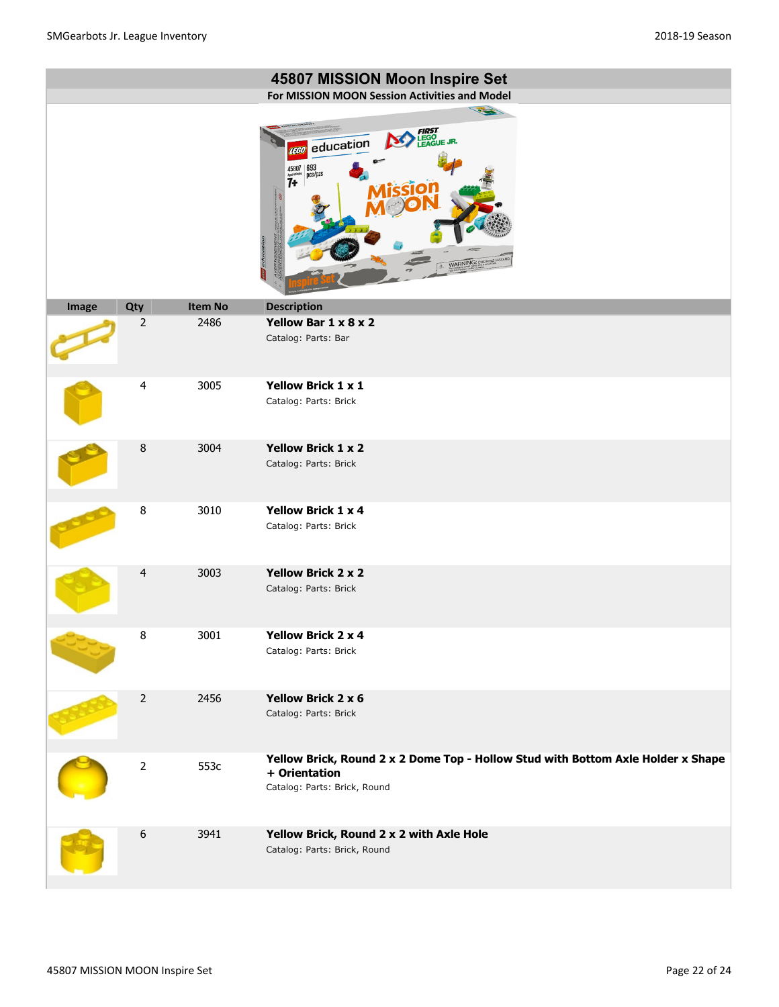|       |                  |                | 45807 MISSION Moon Inspire Set                                                                                                                                                                                                                                                                                                                                                                                                                                                                                                                                                                                                       |
|-------|------------------|----------------|--------------------------------------------------------------------------------------------------------------------------------------------------------------------------------------------------------------------------------------------------------------------------------------------------------------------------------------------------------------------------------------------------------------------------------------------------------------------------------------------------------------------------------------------------------------------------------------------------------------------------------------|
|       |                  |                | For MISSION MOON Session Activities and Model<br>32                                                                                                                                                                                                                                                                                                                                                                                                                                                                                                                                                                                  |
|       |                  |                | <b>FIRST</b><br>LEGO<br>LEAGUE JR.<br>education<br><b>LEGO</b><br>$45807 \overline{\smash{\big)}\, \overline{\mathfrak{p}}\, \overline{\mathfrak{c}}\, \overline{\mathfrak{s}}\, \overline{\mathfrak{p}}\, \overline{\mathfrak{c}}\, \overline{\mathfrak{s}}\, \overline{\mathfrak{p}}\, \overline{\mathfrak{c}}\, \overline{\mathfrak{s}}\, \overline{\mathfrak{p}}\, \overline{\mathfrak{c}}\, \overline{\mathfrak{s}}\, \overline{\mathfrak{p}}\, \overline{\mathfrak{c}}\, \overline{\mathfrak{s}}\, \overline{\mathfrak{p}}\, \overline{\mathfrak{c}}\, \overline{\math$<br>$\overline{7}$<br>ব<br>educatio<br>WARNING: CHOKING |
| Image | Qty              | <b>Item No</b> | <b>Description</b>                                                                                                                                                                                                                                                                                                                                                                                                                                                                                                                                                                                                                   |
|       | $\overline{2}$   | 2486           | Yellow Bar 1 x 8 x 2<br>Catalog: Parts: Bar                                                                                                                                                                                                                                                                                                                                                                                                                                                                                                                                                                                          |
|       | 4                | 3005           | <b>Yellow Brick 1 x 1</b><br>Catalog: Parts: Brick                                                                                                                                                                                                                                                                                                                                                                                                                                                                                                                                                                                   |
|       | 8                | 3004           | <b>Yellow Brick 1 x 2</b><br>Catalog: Parts: Brick                                                                                                                                                                                                                                                                                                                                                                                                                                                                                                                                                                                   |
|       | 8                | 3010           | <b>Yellow Brick 1 x 4</b><br>Catalog: Parts: Brick                                                                                                                                                                                                                                                                                                                                                                                                                                                                                                                                                                                   |
|       | $\overline{4}$   | 3003           | <b>Yellow Brick 2 x 2</b><br>Catalog: Parts: Brick                                                                                                                                                                                                                                                                                                                                                                                                                                                                                                                                                                                   |
|       | $\, 8$           | 3001           | <b>Yellow Brick 2 x 4</b><br>Catalog: Parts: Brick                                                                                                                                                                                                                                                                                                                                                                                                                                                                                                                                                                                   |
|       | $\mathbf 2$      | 2456           | <b>Yellow Brick 2 x 6</b><br>Catalog: Parts: Brick                                                                                                                                                                                                                                                                                                                                                                                                                                                                                                                                                                                   |
|       | $\overline{2}$   | 553c           | Yellow Brick, Round 2 x 2 Dome Top - Hollow Stud with Bottom Axle Holder x Shape<br>+ Orientation<br>Catalog: Parts: Brick, Round                                                                                                                                                                                                                                                                                                                                                                                                                                                                                                    |
|       | $\boldsymbol{6}$ | 3941           | Yellow Brick, Round 2 x 2 with Axle Hole<br>Catalog: Parts: Brick, Round                                                                                                                                                                                                                                                                                                                                                                                                                                                                                                                                                             |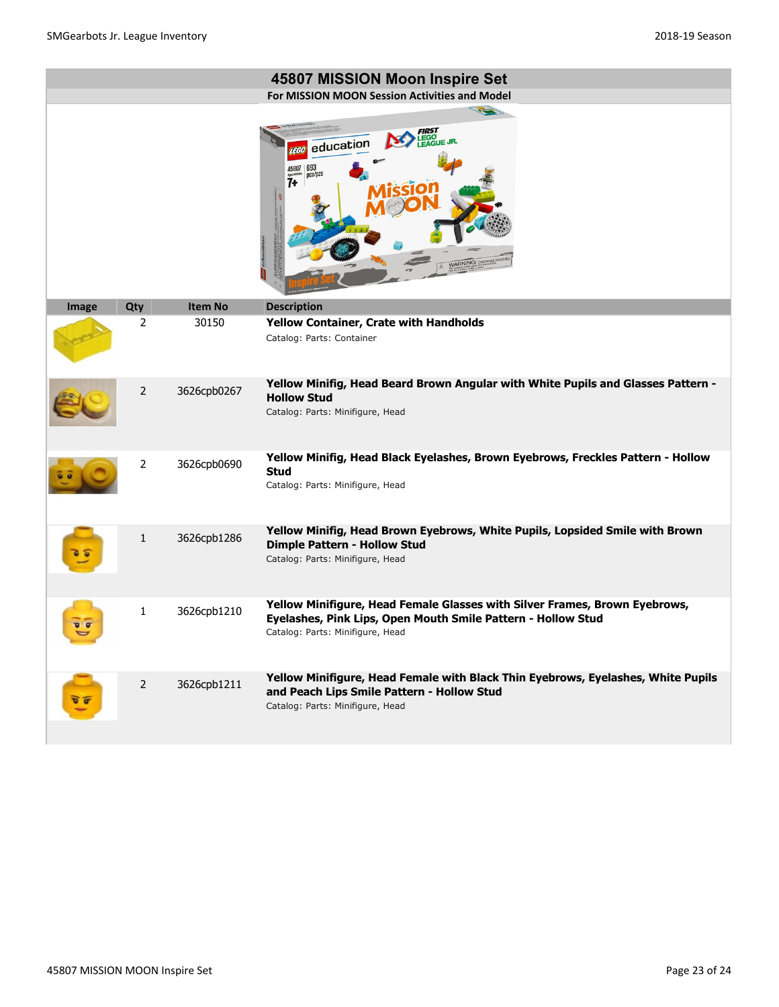|       |                |                | 45807 MISSION Moon Inspire Set<br>For MISSION MOON Session Activities and Model                                                                                                |
|-------|----------------|----------------|--------------------------------------------------------------------------------------------------------------------------------------------------------------------------------|
|       |                |                | <b>FIRST</b><br>LEGO<br>LEAGUE JR.<br>education<br><b>TEGO</b><br>$\frac{693}{pc}$ s/pzs<br>$\frac{45807}{7}$<br>WARNING: CHOKING                                              |
| Image | Qty            | <b>Item No</b> | <b>Description</b>                                                                                                                                                             |
|       | $\overline{2}$ | 30150          | Yellow Container, Crate with Handholds<br>Catalog: Parts: Container                                                                                                            |
|       | 2              | 3626cpb0267    | Yellow Minifig, Head Beard Brown Angular with White Pupils and Glasses Pattern -<br><b>Hollow Stud</b><br>Catalog: Parts: Minifigure, Head                                     |
|       | $\overline{2}$ | 3626cpb0690    | Yellow Minifig, Head Black Eyelashes, Brown Eyebrows, Freckles Pattern - Hollow<br><b>Stud</b><br>Catalog: Parts: Minifigure, Head                                             |
|       | $\mathbf{1}$   | 3626cpb1286    | Yellow Minifig, Head Brown Eyebrows, White Pupils, Lopsided Smile with Brown<br><b>Dimple Pattern - Hollow Stud</b><br>Catalog: Parts: Minifigure, Head                        |
|       | $\mathbf{1}$   | 3626cpb1210    | Yellow Minifigure, Head Female Glasses with Silver Frames, Brown Eyebrows,<br>Eyelashes, Pink Lips, Open Mouth Smile Pattern - Hollow Stud<br>Catalog: Parts: Minifigure, Head |
| π     | $\overline{2}$ | 3626cpb1211    | Yellow Minifigure, Head Female with Black Thin Eyebrows, Eyelashes, White Pupils<br>and Peach Lips Smile Pattern - Hollow Stud<br>Catalog: Parts: Minifigure, Head             |